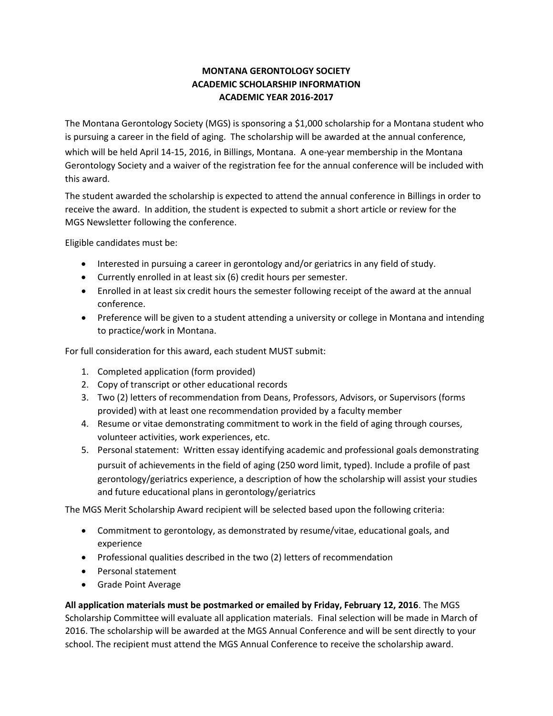## **MONTANA GERONTOLOGY SOCIETY ACADEMIC SCHOLARSHIP INFORMATION ACADEMIC YEAR 2016-2017**

The Montana Gerontology Society (MGS) is sponsoring a \$1,000 scholarship for a Montana student who is pursuing a career in the field of aging. The scholarship will be awarded at the annual conference, which will be held April 14-15, 2016, in Billings, Montana. A one-year membership in the Montana Gerontology Society and a waiver of the registration fee for the annual conference will be included with this award.

The student awarded the scholarship is expected to attend the annual conference in Billings in order to receive the award. In addition, the student is expected to submit a short article or review for the MGS Newsletter following the conference.

Eligible candidates must be:

- Interested in pursuing a career in gerontology and/or geriatrics in any field of study.
- Currently enrolled in at least six (6) credit hours per semester.
- Enrolled in at least six credit hours the semester following receipt of the award at the annual conference.
- Preference will be given to a student attending a university or college in Montana and intending to practice/work in Montana.

For full consideration for this award, each student MUST submit:

- 1. Completed application (form provided)
- 2. Copy of transcript or other educational records
- 3. Two (2) letters of recommendation from Deans, Professors, Advisors, or Supervisors (forms provided) with at least one recommendation provided by a faculty member
- 4. Resume or vitae demonstrating commitment to work in the field of aging through courses, volunteer activities, work experiences, etc.
- 5. Personal statement: Written essay identifying academic and professional goals demonstrating pursuit of achievements in the field of aging (250 word limit, typed). Include a profile of past gerontology/geriatrics experience, a description of how the scholarship will assist your studies and future educational plans in gerontology/geriatrics

The MGS Merit Scholarship Award recipient will be selected based upon the following criteria:

- Commitment to gerontology, as demonstrated by resume/vitae, educational goals, and experience
- Professional qualities described in the two (2) letters of recommendation
- Personal statement
- Grade Point Average

**All application materials must be postmarked or emailed by Friday, February 12, 2016**. The MGS Scholarship Committee will evaluate all application materials. Final selection will be made in March of 2016. The scholarship will be awarded at the MGS Annual Conference and will be sent directly to your school. The recipient must attend the MGS Annual Conference to receive the scholarship award.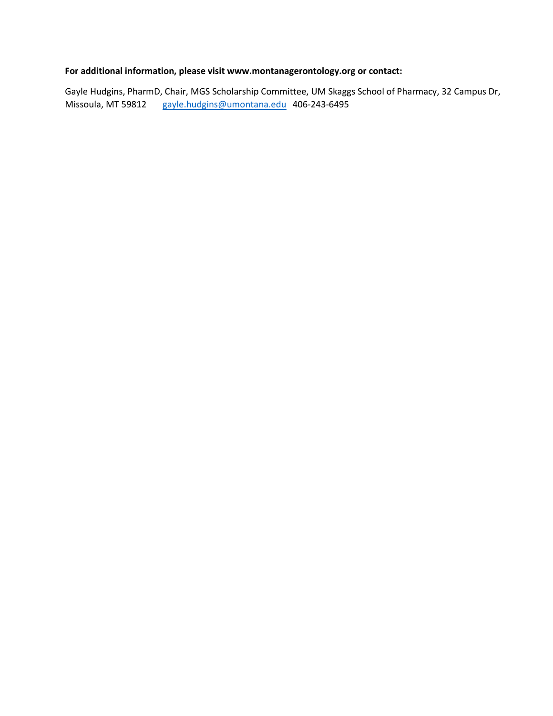## **For additional information, please visit www.montanagerontology.org or contact:**

Gayle Hudgins, PharmD, Chair, MGS Scholarship Committee, UM Skaggs School of Pharmacy, 32 Campus Dr, Missoula, MT 59812 [gayle.hudgins@umontana.edu](mailto:gayle.hudgins@umontana.edu) 406-243-6495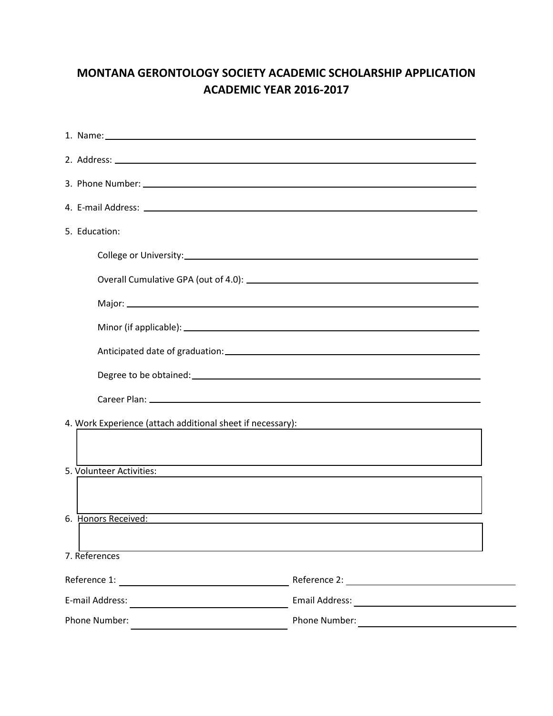## **MONTANA GERONTOLOGY SOCIETY ACADEMIC SCHOLARSHIP APPLICATION ACADEMIC YEAR 2016-2017**

| 1. Name: 1. 2008. 2009. 2009. 2009. 2010. 2010. 2010. 2010. 2011. 2012. 2014. 2016. 2017. 2018. 2019. 2019. 20                                                                                                                 |                                                                                   |
|--------------------------------------------------------------------------------------------------------------------------------------------------------------------------------------------------------------------------------|-----------------------------------------------------------------------------------|
|                                                                                                                                                                                                                                |                                                                                   |
|                                                                                                                                                                                                                                |                                                                                   |
|                                                                                                                                                                                                                                |                                                                                   |
| 5. Education:                                                                                                                                                                                                                  |                                                                                   |
|                                                                                                                                                                                                                                |                                                                                   |
|                                                                                                                                                                                                                                |                                                                                   |
|                                                                                                                                                                                                                                |                                                                                   |
|                                                                                                                                                                                                                                |                                                                                   |
|                                                                                                                                                                                                                                |                                                                                   |
|                                                                                                                                                                                                                                |                                                                                   |
|                                                                                                                                                                                                                                |                                                                                   |
|                                                                                                                                                                                                                                |                                                                                   |
|                                                                                                                                                                                                                                |                                                                                   |
| 5. Volunteer Activities:                                                                                                                                                                                                       | <u> 1989 - Johann Stoff, amerikansk politiker (* 1908)</u>                        |
|                                                                                                                                                                                                                                |                                                                                   |
| 6. Honors Received: Entertainment of the contract of the contract of the contract of the contract of the contract of the contract of the contract of the contract of the contract of the contract of the contract of the contr | ,我们也不能在这里的时候,我们也不能在这里的时候,我们也不能会在这里的时候,我们也不能会在这里的时候,我们也不能会在这里的时候,我们也不能会在这里的时候,我们也不 |
|                                                                                                                                                                                                                                |                                                                                   |
| 7. References                                                                                                                                                                                                                  |                                                                                   |
|                                                                                                                                                                                                                                |                                                                                   |
| E-mail Address:<br><u> 1980 - Jan James James Jan James James James James James James James James James James James James James James</u>                                                                                      | <b>Email Address:</b><br><u> 1989 - Andrea Andrew Maria (h. 19</u>                |
| Phone Number:                                                                                                                                                                                                                  | Phone Number:                                                                     |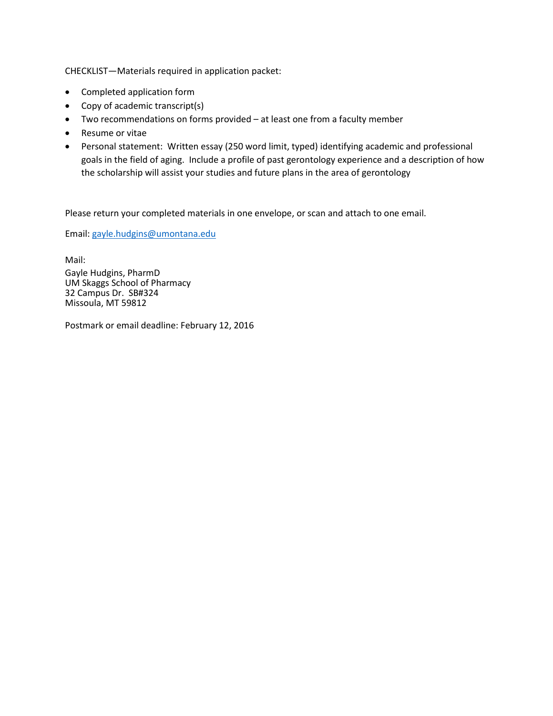CHECKLIST—Materials required in application packet:

- Completed application form
- Copy of academic transcript(s)
- Two recommendations on forms provided at least one from a faculty member
- Resume or vitae
- Personal statement: Written essay (250 word limit, typed) identifying academic and professional goals in the field of aging. Include a profile of past gerontology experience and a description of how the scholarship will assist your studies and future plans in the area of gerontology

Please return your completed materials in one envelope, or scan and attach to one email.

Email: [gayle.hudgins@umontana.edu](mailto:gayle.hudgins@umontana.edu)

Mail:

Gayle Hudgins, PharmD UM Skaggs School of Pharmacy 32 Campus Dr. SB#324 Missoula, MT 59812

Postmark or email deadline: February 12, 2016